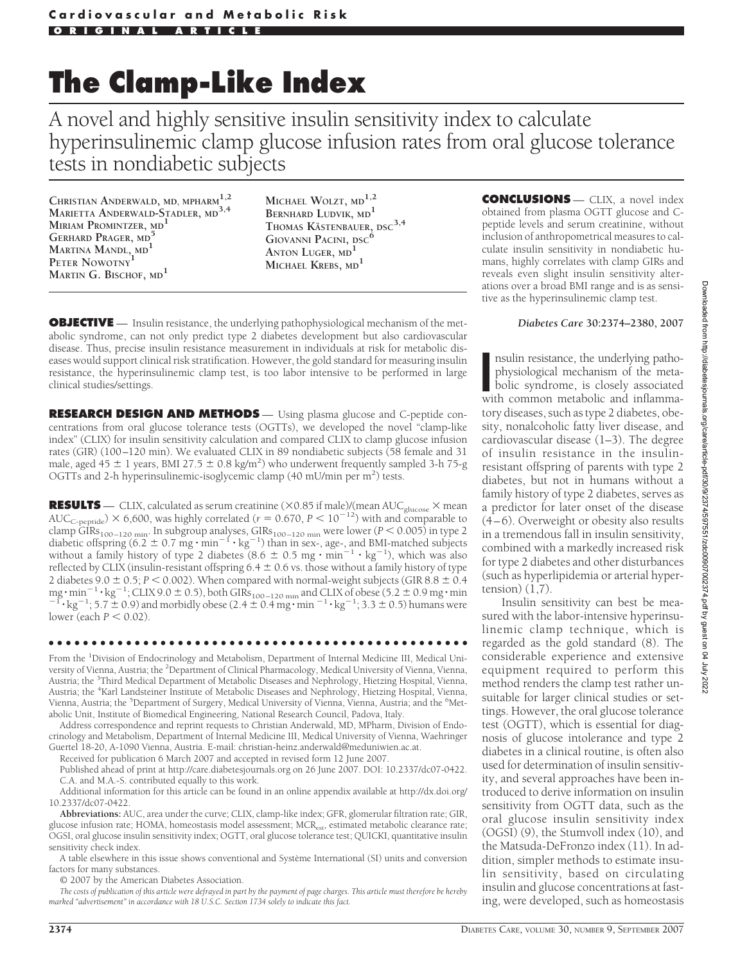# **The Clamp-Like Index**

A novel and highly sensitive insulin sensitivity index to calculate hyperinsulinemic clamp glucose infusion rates from oral glucose tolerance tests in nondiabetic subjects

**CHRISTIAN ANDERWALD, MD, MPHARM1,2 MARIETTA ANDERWALD-STADLER, MD3,4 MIRIAM PROMINTZER, MD<sup>1</sup> GERHARD PRAGER, MD<sup>5</sup> MARTINA MANDL, MD<sup>1</sup> PETER NOWOTNY<sup>1</sup> MARTIN G. BISCHOF, MD<sup>1</sup>**

**MICHAEL WOLZT, MD1,2 BERNHARD LUDVIK, MD<sup>1</sup> THOMAS K¨ASTENBAUER, DSC3,4 GIOVANNI PACINI, DSC<sup>6</sup> ANTON LUGER, MD<sup>1</sup> MICHAEL KREBS, MD<sup>1</sup>**

**OBJECTIVE** — Insulin resistance, the underlying pathophysiological mechanism of the metabolic syndrome, can not only predict type 2 diabetes development but also cardiovascular disease. Thus, precise insulin resistance measurement in individuals at risk for metabolic diseases would support clinical risk stratification. However, the gold standard for measuring insulin resistance, the hyperinsulinemic clamp test, is too labor intensive to be performed in large clinical studies/settings.

**RESEARCH DESIGN AND METHODS** — Using plasma glucose and C-peptide concentrations from oral glucose tolerance tests (OGTTs), we developed the novel "clamp-like index" (CLIX) for insulin sensitivity calculation and compared CLIX to clamp glucose infusion rates (GIR) (100–120 min). We evaluated CLIX in 89 nondiabetic subjects (58 female and 31 male, aged 45  $\pm$  1 years, BMI 27.5  $\pm$  0.8 kg/m<sup>2</sup>) who underwent frequently sampled 3-h 75-g OGTTs and 2-h hyperinsulinemic-isoglycemic clamp (40 mU/min per m<sup>2</sup>) tests.

**RESULTS** — CLIX, calculated as serum creatinine ( $\times$ 0.85 if male)/(mean AUC<sub>glucose</sub>  $\times$  mean AUC<sub>C-peptide</sub>)  $\times$  6,600, was highly correlated ( $r = 0.670$ ,  $P < 10^{-12}$ ) with and comparable to clamp GIRs<sub>100–120</sub> <sub>min</sub>. In subgroup analyses, GIRs<sub>100–120</sub> <sub>min</sub> were lower (*P* < 0.005) in type 2 diabetic offspring (6.2 ± 0.7 mg · min<sup>-1</sup> · kg<sup>-1</sup>) than in sex-, age-, and BMI-matched subjects without a family hi reflected by CLIX (insulin-resistant offspring  $6.4 \pm 0.6$  vs. those without a family history of type 2 diabetes  $9.0 \pm 0.5$ ;  $P < 0.002$ ). When compared with normal-weight subjects (GIR  $8.8 \pm 0.4$  $mg \cdot min^{-1} \cdot kg^{-1}$ ; CLIX 9.0  $\pm$  0.5), both GIRs<sub>100-120</sub> <sub>min</sub> and CLIX of obese (5.2  $\pm$  0.9 mg $\cdot$  min mg  $\cdot$  min<sup>-1</sup>  $\cdot$  kg<sup>-1</sup>; CLIX 9.0  $\pm$  0.5), both GIRs<sub>100–120</sub> <sub>min</sub> and CLIX of obese (5.2  $\pm$  0.9 mg  $\cdot$  min<sup>-1</sup>  $\cdot$  kg<sup>-1</sup>; 3.3  $\pm$  0.5) humans were lower (each  $P < 0.02$ ).

#### ●●●●●●●●●●●●●●●●●●●●●●●●●●●●●●●●●●●●●●●●●●●●●●●●●

From the <sup>1</sup>Division of Endocrinology and Metabolism, Department of Internal Medicine III, Medical University of Vienna, Austria; the <sup>2</sup>Department of Clinical Pharmacology, Medical University of Vienna, Vienna, Austria; the <sup>3</sup>Third Medical Department of Metabolic Diseases and Nephrology, Hietzing Hospital, Vienna, Austria; the <sup>4</sup>Karl Landsteiner Institute of Metabolic Diseases and Nephrology, Hietzing Hospital, Vienna, Vienna, Austria; the <sup>5</sup>Department of Surgery, Medical University of Vienna, Vienna, Austria; and the <sup>6</sup>Metabolic Unit, Institute of Biomedical Engineering, National Research Council, Padova, Italy.

Address correspondence and reprint requests to Christian Anderwald, MD, MPharm, Division of Endocrinology and Metabolism, Department of Internal Medicine III, Medical University of Vienna, Waehringer Guertel 18-20, A-1090 Vienna, Austria. E-mail: christian-heinz.anderwald@meduniwien.ac.at.

Received for publication 6 March 2007 and accepted in revised form 12 June 2007. Published ahead of print at http://care.diabetesjournals.org on 26 June 2007. DOI: 10.2337/dc07-0422.

C.A. and M.A.-S. contributed equally to this work.

Additional information for this article can be found in an online appendix available at http://dx.doi.org/ 10.2337/dc07-0422.

**Abbreviations:** AUC, area under the curve; CLIX, clamp-like index; GFR, glomerular filtration rate; GIR, glucose infusion rate; HOMA, homeostasis model assessment; MCR<sub>est</sub>, estimated metabolic clearance rate; OGSI, oral glucose insulin sensitivity index; OGTT, oral glucose tolerance test; QUICKI, quantitative insulin sensitivity check index.

A table elsewhere in this issue shows conventional and Système International (SI) units and conversion factors for many substances.

© 2007 by the American Diabetes Association.

*The costs of publication of this article were defrayed in part by the payment of page charges. This article must therefore be hereby marked "advertisement" in accordance with 18 U.S.C. Section 1734 solely to indicate this fact.*

**CONCLUSIONS** — CLIX, a novel index obtained from plasma OGTT glucose and Cpeptide levels and serum creatinine, without inclusion of anthropometrical measures to calculate insulin sensitivity in nondiabetic humans, highly correlates with clamp GIRs and reveals even slight insulin sensitivity alterations over a broad BMI range and is as sensitive as the hyperinsulinemic clamp test.

### *Diabetes Care* **30:2374–2380, 2007**

nsulin resistance, the underlying patho-<br>physiological mechanism of the meta-<br>bolic syndrome, is closely associated<br>with common metabolic and inflammansulin resistance, the underlying pathophysiological mechanism of the metabolic syndrome, is closely associated tory diseases, such as type 2 diabetes, obesity, nonalcoholic fatty liver disease, and cardiovascular disease (1–3). The degree of insulin resistance in the insulinresistant offspring of parents with type 2 diabetes, but not in humans without a family history of type 2 diabetes, serves as a predictor for later onset of the disease (4–6). Overweight or obesity also results in a tremendous fall in insulin sensitivity, combined with a markedly increased risk for type 2 diabetes and other disturbances (such as hyperlipidemia or arterial hypertension $(1,7)$ .

Insulin sensitivity can best be measured with the labor-intensive hyperinsulinemic clamp technique, which is regarded as the gold standard (8). The considerable experience and extensive equipment required to perform this method renders the clamp test rather unsuitable for larger clinical studies or settings. However, the oral glucose tolerance test (OGTT), which is essential for diagnosis of glucose intolerance and type 2 diabetes in a clinical routine, is often also used for determination of insulin sensitivity, and several approaches have been introduced to derive information on insulin sensitivity from OGTT data, such as the oral glucose insulin sensitivity index (OGSI) (9), the Stumvoll index (10), and the Matsuda-DeFronzo index (11). In addition, simpler methods to estimate insulin sensitivity, based on circulating insulin and glucose concentrations at fasting, were developed, such as homeostasis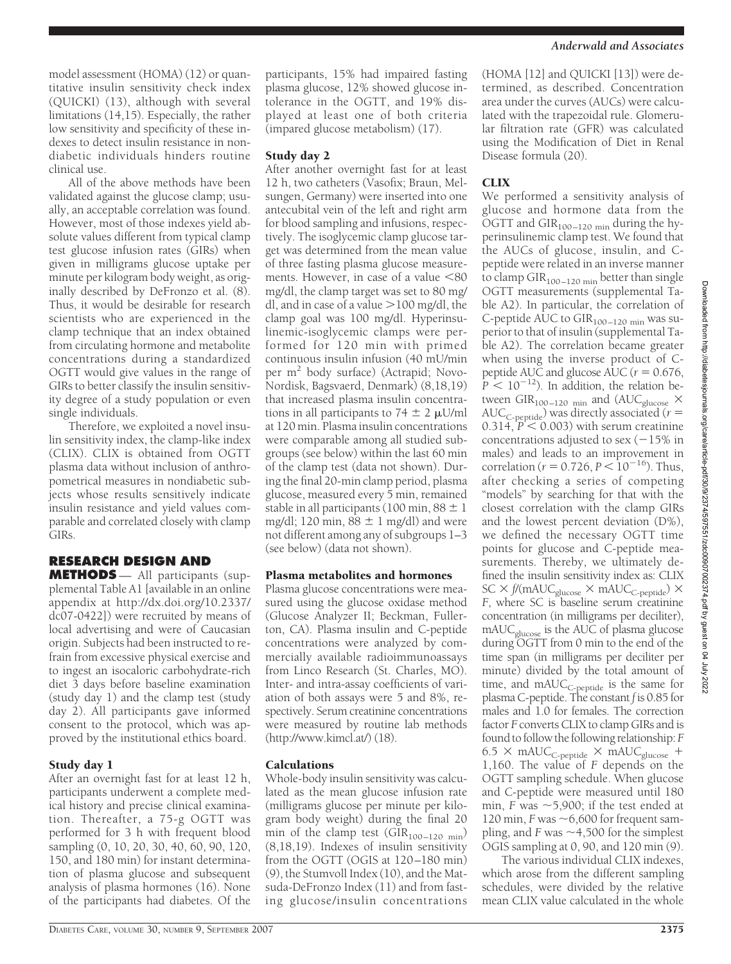model assessment (HOMA) (12) or quantitative insulin sensitivity check index (QUICKI) (13), although with several limitations (14,15). Especially, the rather low sensitivity and specificity of these indexes to detect insulin resistance in nondiabetic individuals hinders routine clinical use.

All of the above methods have been validated against the glucose clamp; usually, an acceptable correlation was found. However, most of those indexes yield absolute values different from typical clamp test glucose infusion rates (GIRs) when given in milligrams glucose uptake per minute per kilogram body weight, as originally described by DeFronzo et al. (8). Thus, it would be desirable for research scientists who are experienced in the clamp technique that an index obtained from circulating hormone and metabolite concentrations during a standardized OGTT would give values in the range of GIRs to better classify the insulin sensitivity degree of a study population or even single individuals.

Therefore, we exploited a novel insulin sensitivity index, the clamp-like index (CLIX). CLIX is obtained from OGTT plasma data without inclusion of anthropometrical measures in nondiabetic subjects whose results sensitively indicate insulin resistance and yield values comparable and correlated closely with clamp GIRs.

# **RESEARCH DESIGN AND**

**METHODS** — All participants (supplemental Table A1 [available in an online appendix at http://dx.doi.org/10.2337/ dc07-0422]) were recruited by means of local advertising and were of Caucasian origin. Subjects had been instructed to refrain from excessive physical exercise and to ingest an isocaloric carbohydrate-rich diet 3 days before baseline examination (study day 1) and the clamp test (study day 2). All participants gave informed consent to the protocol, which was approved by the institutional ethics board.

# Study day 1

After an overnight fast for at least 12 h, participants underwent a complete medical history and precise clinical examination. Thereafter, a 75-g OGTT was performed for 3 h with frequent blood sampling (0, 10, 20, 30, 40, 60, 90, 120, 150, and 180 min) for instant determination of plasma glucose and subsequent analysis of plasma hormones (16). None of the participants had diabetes. Of the

participants, 15% had impaired fasting plasma glucose, 12% showed glucose intolerance in the OGTT, and 19% displayed at least one of both criteria (impared glucose metabolism) (17).

## Study day 2

After another overnight fast for at least 12 h, two catheters (Vasofix; Braun, Melsungen, Germany) were inserted into one antecubital vein of the left and right arm for blood sampling and infusions, respectively. The isoglycemic clamp glucose target was determined from the mean value of three fasting plasma glucose measurements. However, in case of a value  $<80$ mg/dl, the clamp target was set to 80 mg/ dl, and in case of a value  $>$ 100 mg/dl, the clamp goal was 100 mg/dl. Hyperinsulinemic-isoglycemic clamps were performed for 120 min with primed continuous insulin infusion (40 mU/min per m<sup>2</sup> body surface) (Actrapid; Novo-Nordisk, Bagsvaerd, Denmark) (8,18,19) that increased plasma insulin concentrations in all participants to 74  $\pm$  2  $\mu$ U/ml at 120 min. Plasma insulin concentrations were comparable among all studied subgroups (see below) within the last 60 min of the clamp test (data not shown). During the final 20-min clamp period, plasma glucose, measured every 5 min, remained stable in all participants (100 min,  $88 \pm 1$ ) mg/dl; 120 min,  $88 \pm 1$  mg/dl) and were not different among any of subgroups 1–3 (see below) (data not shown).

## Plasma metabolites and hormones

Plasma glucose concentrations were measured using the glucose oxidase method (Glucose Analyzer II; Beckman, Fullerton, CA). Plasma insulin and C-peptide concentrations were analyzed by commercially available radioimmunoassays from Linco Research (St. Charles, MO). Inter- and intra-assay coefficients of variation of both assays were 5 and 8%, respectively. Serum creatinine concentrations were measured by routine lab methods (http://www.kimcl.at/) (18).

## Calculations

Whole-body insulin sensitivity was calculated as the mean glucose infusion rate (milligrams glucose per minute per kilogram body weight) during the final 20 min of the clamp test ( $\text{GIR}_{100-120\ \text{min}}$ ) (8,18,19). Indexes of insulin sensitivity from the OGTT (OGIS at 120–180 min) (9), the Stumvoll Index (10), and the Matsuda-DeFronzo Index (11) and from fasting glucose/insulin concentrations

(HOMA [12] and QUICKI [13]) were determined, as described. Concentration area under the curves (AUCs) were calculated with the trapezoidal rule. Glomerular filtration rate (GFR) was calculated using the Modification of Diet in Renal Disease formula (20).

# **CLIX**

We performed a sensitivity analysis of glucose and hormone data from the OGTT and  $\text{GIR}_{100-120\;\text{min}}$  during the hyperinsulinemic clamp test. We found that the AUCs of glucose, insulin, and Cpeptide were related in an inverse manner to clamp  $GIR_{100-120 \text{ min}}$  better than single OGTT measurements (supplemental Table A2). In particular, the correlation of C-peptide AUC to GIR<sub>100-120</sub> min was superior to that of insulin (supplemental Table A2). The correlation became greater when using the inverse product of Cpeptide AUC and glucose AUC ( $r = 0.676$ ,  $P < 10^{-12}$ ). In addition, the relation between GIR<sub>100–120</sub> <sub>min</sub> and (AUC<sub>glucose</sub>  $\times$  AUC<sub>C-peptide</sub>) was directly associated (*r* =  $0.314, P< 0.003$ ) with serum creatinine concentrations adjusted to sex  $(-15\%$  in males) and leads to an improvement in correlation ( $r = 0.726$ ,  $P < 10^{-16}$ ). Thus, after checking a series of competing "models" by searching for that with the closest correlation with the clamp GIRs and the lowest percent deviation (D%), we defined the necessary OGTT time points for glucose and C-peptide measurements. Thereby, we ultimately defined the insulin sensitivity index as: CLIX  $SC \times f/(mAUC_{glucose} \times mAUC_{C\text{-peptide}}) \times$ *F*, where SC is baseline serum creatinine concentration (in milligrams per deciliter), mAUCglucose is the AUC of plasma glucose during OGTT from 0 min to the end of the time span (in milligrams per deciliter per minute) divided by the total amount of time, and mAUC<sub>C-peptide</sub> is the same for plasma C-peptide. The constant *f* is 0.85 for males and 1.0 for females. The correction factor *F* converts CLIX to clamp GIRs and is found to follow the following relationship: *F*  $6.5 \times \text{mAUC}_{\text{C-peptide}} \times \text{mAUC}_{\text{glucose}} +$ 1,160. The value of *F* depends on the OGTT sampling schedule. When glucose and C-peptide were measured until 180 min,  $F$  was  $\sim$  5,900; if the test ended at 120 min,  $F$  was  $\sim$  6,600 for frequent sampling, and  $F$  was  $\sim$  4,500 for the simplest OGIS sampling at 0, 90, and 120 min (9).

The various individual CLIX indexes, which arose from the different sampling schedules, were divided by the relative mean CLIX value calculated in the whole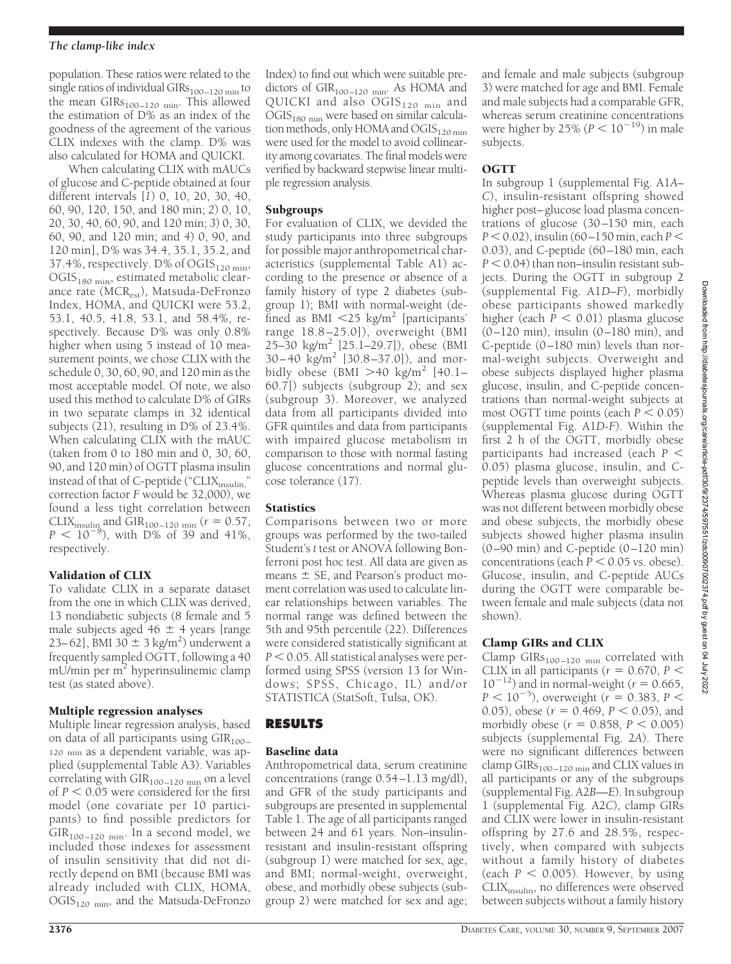population. These ratios were related to the single ratios of individual GIRs $_{100-120 \text{ min}}$  to the mean  $GIRs_{100-120 \text{ min}}$ . This allowed the estimation of D% as an index of the goodness of the agreement of the various CLIX indexes with the clamp. D% was also calculated for HOMA and QUICKI.

When calculating CLIX with mAUCs of glucose and C-peptide obtained at four different intervals [*1*) 0, 10, 20, 30, 40, 60, 90, 120, 150, and 180 min; *2*) 0, 10, 20, 30, 40, 60, 90, and 120 min; *3*) 0, 30, 60, 90, and 120 min; and *4*) 0, 90, and 120 min], D% was 34.4, 35.1, 35.2, and 37.4%, respectively. D% of  $\mathrm{OGIS}_{120 \text{ min}}$ , OGIS<sub>180 min</sub>, estimated metabolic clearance rate (MCR<sub>est</sub>), Matsuda-DeFronzo Index, HOMA, and QUICKI were 53.2, 53.1, 40.5, 41.8, 53.1, and 58.4%, respectively. Because D% was only 0.8% higher when using 5 instead of 10 measurement points, we chose CLIX with the schedule 0, 30, 60, 90, and 120 min as the most acceptable model. Of note, we also used this method to calculate D% of GIRs in two separate clamps in 32 identical subjects (21), resulting in D% of 23.4%. When calculating CLIX with the mAUC (taken from 0 to 180 min and 0, 30, 60, 90, and 120 min) of OGTT plasma insulin instead of that of C-peptide ("CLIXinsulin," correction factor *F* would be 32,000), we found a less tight correlation between CLIX<sub>insulin</sub> and GIR<sub>100–120</sub> <sub>min</sub> ( $r = 0.57$ ,  $P < 10^{-8}$ ), with D% of 39 and 41%, respectively.

# Validation of CLIX

To validate CLIX in a separate dataset from the one in which CLIX was derived, 13 nondiabetic subjects (8 female and 5 male subjects aged 46  $\pm$  4 years [range 23–62], BMI 30  $\pm$  3 kg/m<sup>2</sup>) underwent a frequently sampled OGTT, following a 40 mU/min per  $m<sup>2</sup>$  hyperinsulinemic clamp test (as stated above).

# Multiple regression analyses

Multiple linear regression analysis, based on data of all participants using  $\text{GIR}_{100-}$ 120 min as a dependent variable, was applied (supplemental Table A3). Variables correlating with  $GIR<sub>100–120 min</sub>$  on a level of  $P < 0.05$  were considered for the first model (one covariate per 10 participants) to find possible predictors for  $GIR<sub>100–120 min</sub>$ . In a second model, we included those indexes for assessment of insulin sensitivity that did not directly depend on BMI (because BMI was already included with CLIX, HOMA,  $\mathrm{OGIS}_{120 \text{ min}}$ , and the Matsuda-DeFronzo Index) to find out which were suitable predictors of  $GIR<sub>100–120 min</sub>$ . As HOMA and QUICKI and also  $OGIS<sub>120 min</sub>$  and OGIS<sub>180 min</sub> were based on similar calculation methods, only HOMA and OGIS<sub>120 min</sub> were used for the model to avoid collinearity among covariates. The final models were verified by backward stepwise linear multiple regression analysis.

# **Subgroups**

For evaluation of CLIX, we devided the study participants into three subgroups for possible major anthropometrical characteristics (supplemental Table A1) according to the presence or absence of a family history of type 2 diabetes (subgroup 1); BMI with normal-weight (defined as BMI  $\langle 25 \text{ kg/m}^2 \rangle$  [participants' range 18.8–25.0]), overweight (BMI 25–30 kg/m<sup>2</sup> [25.1–29.7]), obese (BMI 30–40 kg/m<sup>2</sup> [30.8–37.0]), and morbidly obese (BMI  $>40$  kg/m<sup>2</sup> [40.1– 60.7]) subjects (subgroup 2); and sex (subgroup 3). Moreover, we analyzed data from all participants divided into GFR quintiles and data from participants with impaired glucose metabolism in comparison to those with normal fasting glucose concentrations and normal glucose tolerance (17).

# **Statistics**

Comparisons between two or more groups was performed by the two-tailed Student's *t* test or ANOVA following Bonferroni post hoc test. All data are given as means  $\pm$  SE, and Pearson's product moment correlation was used to calculate linear relationships between variables. The normal range was defined between the 5th and 95th percentile (22). Differences were considered statistically significant at  $P < 0.05$ . All statistical analyses were performed using SPSS (version 13 for Windows; SPSS, Chicago, IL) and/or STATISTICA (StatSoft, Tulsa, OK).

# **RESULTS**

# Baseline data

Anthropometrical data, serum creatinine concentrations (range 0.54–1.13 mg/dl), and GFR of the study participants and subgroups are presented in supplemental Table 1. The age of all participants ranged between 24 and 61 years. Non–insulinresistant and insulin-resistant offspring (subgroup 1) were matched for sex, age, and BMI; normal-weight, overweight, obese, and morbidly obese subjects (subgroup 2) were matched for sex and age;

and female and male subjects (subgroup 3) were matched for age and BMI. Female and male subjects had a comparable GFR, whereas serum creatinine concentrations were higher by 25% ( $P < 10^{-19}$ ) in male subjects.

# OGTT

In subgroup 1 (supplemental Fig. A1*A– C*), insulin-resistant offspring showed higher post–glucose load plasma concentrations of glucose (30–150 min, each *P* 0.02), insulin (60–150 min, each *P* 0.03), and C-peptide (60–180 min, each  $P < 0.04$ ) than non–insulin resistant subjects. During the OGTT in subgroup 2 (supplemental Fig. A1*D–F*), morbidly obese participants showed markedly higher (each  $P < 0.01$ ) plasma glucose (0–120 min), insulin (0–180 min), and C-peptide (0–180 min) levels than normal-weight subjects. Overweight and obese subjects displayed higher plasma glucose, insulin, and C-peptide concentrations than normal-weight subjects at most OGTT time points (each  $P < 0.05$ ) (supplemental Fig. A1*D-F*). Within the first 2 h of the OGTT, morbidly obese participants had increased (each *P* 0.05) plasma glucose, insulin, and Cpeptide levels than overweight subjects. Whereas plasma glucose during OGTT was not different between morbidly obese and obese subjects, the morbidly obese subjects showed higher plasma insulin (0–90 min) and C-peptide (0–120 min) concentrations (each  $P < 0.05$  vs. obese). Glucose, insulin, and C-peptide AUCs during the OGTT were comparable between female and male subjects (data not shown).

# Clamp GIRs and CLIX

Clamp GIRs<sub>100–120</sub> <sub>min</sub> correlated with CLIX in all participants ( $r = 0.670$ ,  $P \le$  $10^{-12}$ ) and in normal-weight ( $r = 0.665$ ,  $P < 10^{-5}$ ), overweight (*r* = 0.383, *P* < 0.05), obese ( $r = 0.469$ ,  $P < 0.05$ ), and morbidly obese  $(r = 0.858, P < 0.005)$ subjects (supplemental Fig. 2*A*). There were no significant differences between clamp  $GIRs<sub>100–120 min</sub>$  and CLIX values in all participants or any of the subgroups (supplemental Fig. A2*B—E*). In subgroup 1 (supplemental Fig. A2*C*), clamp GIRs and CLIX were lower in insulin-resistant offspring by 27.6 and 28.5%, respectively, when compared with subjects without a family history of diabetes (each  $P < 0.005$ ). However, by using CLIX<sub>insulin</sub>, no differences were observed between subjects without a family history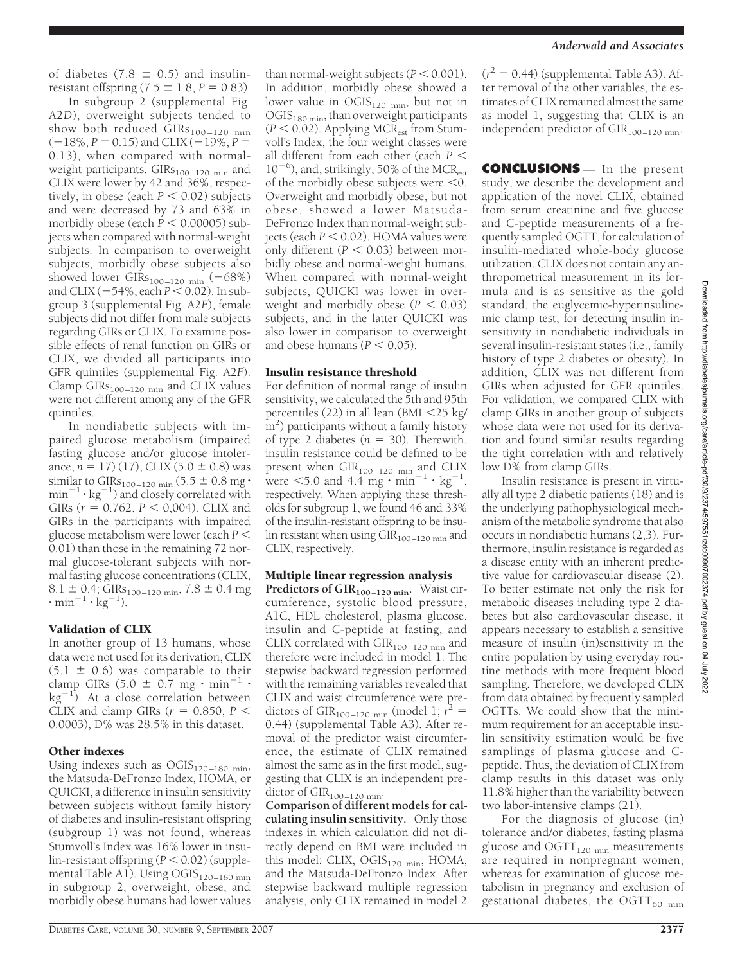of diabetes (7.8  $\pm$  0.5) and insulinresistant offspring  $(7.5 \pm 1.8, P = 0.83)$ .

In subgroup 2 (supplemental Fig. A2*D*), overweight subjects tended to show both reduced  $\text{GIRs}_{100-120\text{ min}}$  $(-18\%, P = 0.15)$  and CLIX  $(-19\%, P =$ 0.13), when compared with normalweight participants.  $GIRs_{100-120 \text{ min}}$  and CLIX were lower by 42 and 36%, respectively, in obese (each  $P < 0.02$ ) subjects and were decreased by 73 and 63% in morbidly obese (each  $\dot{P}$  < 0.00005) subjects when compared with normal-weight subjects. In comparison to overweight subjects, morbidly obese subjects also showed lower GIRs<sub>100–120</sub> <sub>min</sub>  $(-68%)$ and CLIX (–54%, each *P* < 0.02). In subgroup 3 (supplemental Fig. A2*E*), female subjects did not differ from male subjects regarding GIRs or CLIX. To examine possible effects of renal function on GIRs or CLIX, we divided all participants into GFR quintiles (supplemental Fig. A2*F*). Clamp  $GIRs_{100-120 \text{ min}}$  and CLIX values were not different among any of the GFR quintiles.

In nondiabetic subjects with impaired glucose metabolism (impaired fasting glucose and/or glucose intolerance,  $n = 17$ ) (17), CLIX (5.0  $\pm$  0.8) was similar to GIRs<sub>100–120</sub> <sub>min</sub> (5.5  $\pm$  0.8 mg·  $min^{-1} \cdot kg^{-1}$ ) and closely correlated with GIRs  $(r = 0.762, P < 0.004)$ . CLIX and GIRs in the participants with impaired glucose metabolism were lower (each *P* 0.01) than those in the remaining 72 normal glucose-tolerant subjects with normal fasting glucose concentrations (CLIX, 8.1  $\pm$  0.4; GIRs<sub>100–120</sub> <sub>min</sub>, 7.8  $\pm$  0.4 mg  $\cdot$  min<sup>-1</sup>  $\cdot$  kg<sup>-1</sup>).

## Validation of CLIX

In another group of 13 humans, whose data were not used for its derivation, CLIX  $(5.1 \pm 0.6)$  was comparable to their clamp GIRs (5.0  $\pm$  0.7 mg  $\cdot$  min<sup>-1</sup>  $\cdot$  $\text{kg}^{-1}$ ). At a close correlation between CLIX and clamp GIRs  $(r = 0.850, P <$ 0.0003), D% was 28.5% in this dataset.

## Other indexes

Using indexes such as  $\mathrm{OGIS}_{120-180\,\,\mathrm{min}},$ the Matsuda-DeFronzo Index, HOMA, or QUICKI, a difference in insulin sensitivity between subjects without family history of diabetes and insulin-resistant offspring (subgroup 1) was not found, whereas Stumvoll's Index was 16% lower in insu- $\text{lin-resistant offspring}$  ( $P < 0.02$ ) (supplemental Table A1). Using OGIS<sub>120-180</sub> min in subgroup 2, overweight, obese, and morbidly obese humans had lower values

than normal-weight subjects  $(P < 0.001)$ . In addition, morbidly obese showed a lower value in  $OGIS_{120 \text{ min}}$ , but not in  $\mathrm{OGIS}_{180\,\mathrm{min}}$ , than overweight participants  $(P < 0.02)$ . Applying MCR<sub>est</sub> from Stumvoll's Index, the four weight classes were all different from each other (each *P* 10<sup>-6</sup>), and, strikingly, 50% of the MCR<sub>est</sub> of the morbidly obese subjects were  $\leq 0$ . Overweight and morbidly obese, but not obese, showed a lower Matsuda-DeFronzo Index than normal-weight subjects (each  $P < 0.02$ ). HOMA values were only different  $(P < 0.03)$  between morbidly obese and normal-weight humans. When compared with normal-weight subjects, QUICKI was lower in overweight and morbidly obese  $(P < 0.03)$ subjects, and in the latter QUICKI was also lower in comparison to overweight and obese humans ( $P < 0.05$ ).

## Insulin resistance threshold

For definition of normal range of insulin sensitivity, we calculated the 5th and 95th percentiles (22) in all lean (BMI 25 kg/ m<sup>2</sup>) participants without a family history of type 2 diabetes  $(n = 30)$ . Therewith, insulin resistance could be defined to be present when  $\text{GIR}_{100-120}$  min and  $\text{CLIX}$ were  $\leq 5.0$  and 4.4 mg  $\cdot$  min<sup>-1</sup>  $\cdot$  kg<sup>-1</sup>, respectively. When applying these thresholds for subgroup 1, we found 46 and 33% of the insulin-resistant offspring to be insulin resistant when using  $\overline{GIR}_{100-120 \text{ min}}$  and CLIX, respectively.

## Multiple linear regression analysis

**Predictors of GIR<sub>100-120</sub> min. Waist cir**cumference, systolic blood pressure, A1C, HDL cholesterol, plasma glucose, insulin and C-peptide at fasting, and CLIX correlated with  $GIR<sub>100–120 min</sub>$  and therefore were included in model 1. The stepwise backward regression performed with the remaining variables revealed that CLIX and waist circumference were predictors of GIR<sub>100–120</sub> <sub>min</sub> (model 1;  $r^2 =$ 0.44) (supplemental Table A3). After removal of the predictor waist circumference, the estimate of CLIX remained almost the same as in the first model, suggesting that CLIX is an independent predictor of  $\text{GIR}_{100-120}$  min.

**Comparison of different models for calculating insulin sensitivity.** Only those indexes in which calculation did not directly depend on BMI were included in this model: CLIX,  $OGS<sub>120 min</sub>$ , HOMA, and the Matsuda-DeFronzo Index. After stepwise backward multiple regression analysis, only CLIX remained in model 2

#### *Anderwald and Associates*

 $(r^2 = 0.44)$  (supplemental Table A3). After removal of the other variables, the estimates of CLIX remained almost the same as model 1, suggesting that CLIX is an independent predictor of  $GIR<sub>100–120 min</sub>$ .

**CONCLUSIONS** — In the present study, we describe the development and application of the novel CLIX, obtained from serum creatinine and five glucose and C-peptide measurements of a frequently sampled OGTT, for calculation of insulin-mediated whole-body glucose utilization. CLIX does not contain any anthropometrical measurement in its formula and is as sensitive as the gold standard, the euglycemic-hyperinsulinemic clamp test, for detecting insulin insensitivity in nondiabetic individuals in several insulin-resistant states (i.e., family history of type 2 diabetes or obesity). In addition, CLIX was not different from GIRs when adjusted for GFR quintiles. For validation, we compared CLIX with clamp GIRs in another group of subjects whose data were not used for its derivation and found similar results regarding the tight correlation with and relatively low D% from clamp GIRs.

Insulin resistance is present in virtually all type 2 diabetic patients (18) and is the underlying pathophysiological mechanism of the metabolic syndrome that also occurs in nondiabetic humans (2,3). Furthermore, insulin resistance is regarded as a disease entity with an inherent predictive value for cardiovascular disease (2). To better estimate not only the risk for metabolic diseases including type 2 diabetes but also cardiovascular disease, it appears necessary to establish a sensitive measure of insulin (in)sensitivity in the entire population by using everyday routine methods with more frequent blood sampling. Therefore, we developed CLIX from data obtained by frequently sampled OGTTs. We could show that the minimum requirement for an acceptable insulin sensitivity estimation would be five samplings of plasma glucose and Cpeptide. Thus, the deviation of CLIX from clamp results in this dataset was only 11.8% higher than the variability between two labor-intensive clamps (21).

For the diagnosis of glucose (in) tolerance and/or diabetes, fasting plasma glucose and  $\text{OGTT}_{120 \text{ min}}$  measurements are required in nonpregnant women, whereas for examination of glucose metabolism in pregnancy and exclusion of gestational diabetes, the OGTT $_{60 \text{ min}}$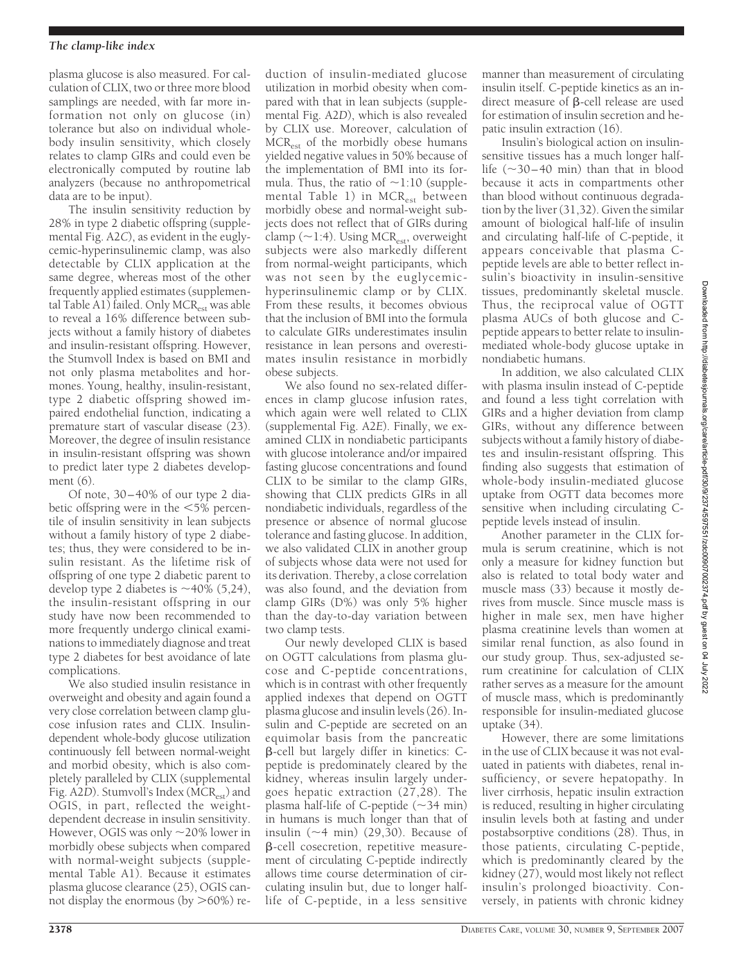## *The clamp-like index*

plasma glucose is also measured. For calculation of CLIX, two or three more blood samplings are needed, with far more information not only on glucose (in) tolerance but also on individual wholebody insulin sensitivity, which closely relates to clamp GIRs and could even be electronically computed by routine lab analyzers (because no anthropometrical data are to be input).

The insulin sensitivity reduction by 28% in type 2 diabetic offspring (supplemental Fig. A2*C*), as evident in the euglycemic-hyperinsulinemic clamp, was also detectable by CLIX application at the same degree, whereas most of the other frequently applied estimates (supplemental Table A1) failed. Only  $MCR_{est}$  was able to reveal a 16% difference between subjects without a family history of diabetes and insulin-resistant offspring. However, the Stumvoll Index is based on BMI and not only plasma metabolites and hormones. Young, healthy, insulin-resistant, type 2 diabetic offspring showed impaired endothelial function, indicating a premature start of vascular disease (23). Moreover, the degree of insulin resistance in insulin-resistant offspring was shown to predict later type 2 diabetes development (6).

Of note, 30–40% of our type 2 diabetic offspring were in the  $\leq 5\%$  percentile of insulin sensitivity in lean subjects without a family history of type 2 diabetes; thus, they were considered to be insulin resistant. As the lifetime risk of offspring of one type 2 diabetic parent to develop type 2 diabetes is  $\sim$ 40% (5,24), the insulin-resistant offspring in our study have now been recommended to more frequently undergo clinical examinations to immediately diagnose and treat type 2 diabetes for best avoidance of late complications.

We also studied insulin resistance in overweight and obesity and again found a very close correlation between clamp glucose infusion rates and CLIX. Insulindependent whole-body glucose utilization continuously fell between normal-weight and morbid obesity, which is also completely paralleled by CLIX (supplemental Fig. A2*D*). Stumvoll's Index (MCR<sub>est</sub>) and OGIS, in part, reflected the weightdependent decrease in insulin sensitivity. However, OGIS was only  $\sim$  20% lower in morbidly obese subjects when compared with normal-weight subjects (supplemental Table A1). Because it estimates plasma glucose clearance (25), OGIS cannot display the enormous (by  $>60\%$ ) re-

duction of insulin-mediated glucose utilization in morbid obesity when compared with that in lean subjects (supplemental Fig. A2*D*), which is also revealed by CLIX use. Moreover, calculation of  $MCR_{est}$  of the morbidly obese humans yielded negative values in 50% because of the implementation of BMI into its formula. Thus, the ratio of  $\sim$ 1:10 (supplemental Table 1) in MCR<sub>est</sub> between morbidly obese and normal-weight subjects does not reflect that of GIRs during clamp ( $\sim$ 1:4). Using MCR<sub>est</sub>, overweight subjects were also markedly different from normal-weight participants, which was not seen by the euglycemichyperinsulinemic clamp or by CLIX. From these results, it becomes obvious that the inclusion of BMI into the formula to calculate GIRs underestimates insulin resistance in lean persons and overestimates insulin resistance in morbidly obese subjects.

We also found no sex-related differences in clamp glucose infusion rates, which again were well related to CLIX (supplemental Fig. A2*E*). Finally, we examined CLIX in nondiabetic participants with glucose intolerance and/or impaired fasting glucose concentrations and found CLIX to be similar to the clamp GIRs, showing that CLIX predicts GIRs in all nondiabetic individuals, regardless of the presence or absence of normal glucose tolerance and fasting glucose. In addition, we also validated CLIX in another group of subjects whose data were not used for its derivation. Thereby, a close correlation was also found, and the deviation from clamp GIRs (D%) was only 5% higher than the day-to-day variation between two clamp tests.

Our newly developed CLIX is based on OGTT calculations from plasma glucose and C-peptide concentrations, which is in contrast with other frequently applied indexes that depend on OGTT plasma glucose and insulin levels (26). Insulin and C-peptide are secreted on an equimolar basis from the pancreatic -cell but largely differ in kinetics: Cpeptide is predominately cleared by the kidney, whereas insulin largely undergoes hepatic extraction (27,28). The plasma half-life of C-peptide  $(\sim 34 \text{ min})$ in humans is much longer than that of insulin  $(\sim 4 \text{ min})$  (29,30). Because of -cell cosecretion, repetitive measurement of circulating C-peptide indirectly allows time course determination of circulating insulin but, due to longer halflife of C-peptide, in a less sensitive

manner than measurement of circulating insulin itself. C-peptide kinetics as an indirect measure of  $\beta$ -cell release are used for estimation of insulin secretion and hepatic insulin extraction (16).

Insulin's biological action on insulinsensitive tissues has a much longer halflife  $(\sim 30 - 40$  min) than that in blood because it acts in compartments other than blood without continuous degradation by the liver (31,32). Given the similar amount of biological half-life of insulin and circulating half-life of C-peptide, it appears conceivable that plasma Cpeptide levels are able to better reflect insulin's bioactivity in insulin-sensitive tissues, predominantly skeletal muscle. Thus, the reciprocal value of OGTT plasma AUCs of both glucose and Cpeptide appears to better relate to insulinmediated whole-body glucose uptake in nondiabetic humans.

In addition, we also calculated CLIX with plasma insulin instead of C-peptide and found a less tight correlation with GIRs and a higher deviation from clamp GIRs, without any difference between subjects without a family history of diabetes and insulin-resistant offspring. This finding also suggests that estimation of whole-body insulin-mediated glucose uptake from OGTT data becomes more sensitive when including circulating Cpeptide levels instead of insulin.

Another parameter in the CLIX formula is serum creatinine, which is not only a measure for kidney function but also is related to total body water and muscle mass (33) because it mostly derives from muscle. Since muscle mass is higher in male sex, men have higher plasma creatinine levels than women at similar renal function, as also found in our study group. Thus, sex-adjusted serum creatinine for calculation of CLIX rather serves as a measure for the amount of muscle mass, which is predominantly responsible for insulin-mediated glucose uptake (34).

However, there are some limitations in the use of CLIX because it was not evaluated in patients with diabetes, renal insufficiency, or severe hepatopathy. In liver cirrhosis, hepatic insulin extraction is reduced, resulting in higher circulating insulin levels both at fasting and under postabsorptive conditions (28). Thus, in those patients, circulating C-peptide, which is predominantly cleared by the kidney (27), would most likely not reflect insulin's prolonged bioactivity. Conversely, in patients with chronic kidney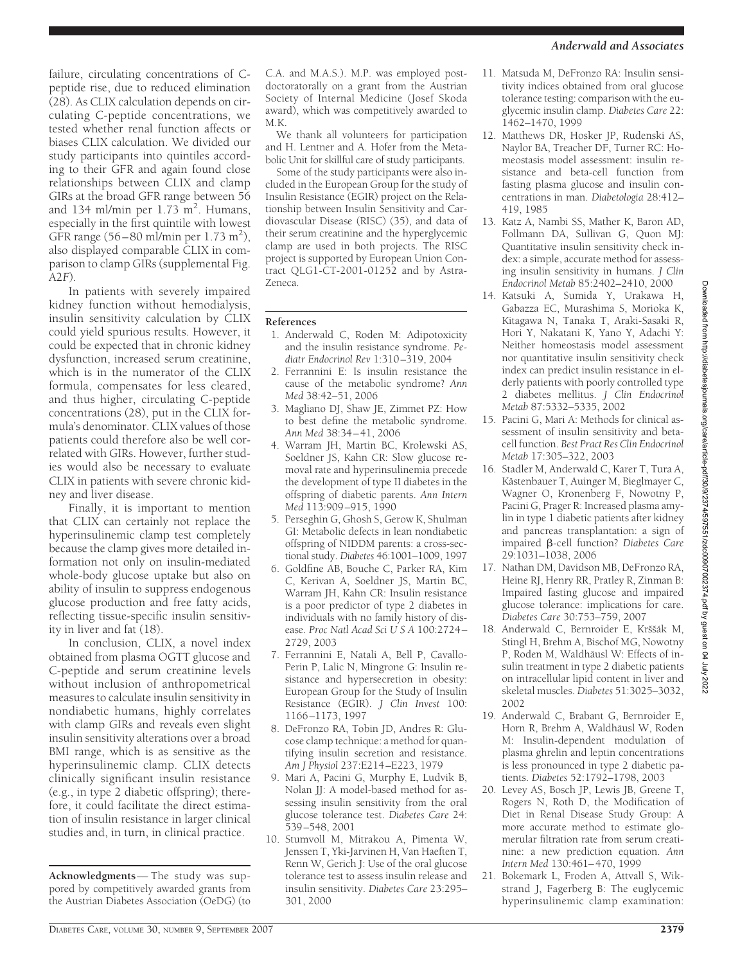failure, circulating concentrations of Cpeptide rise, due to reduced elimination (28). As CLIX calculation depends on circulating C-peptide concentrations, we tested whether renal function affects or biases CLIX calculation. We divided our study participants into quintiles according to their GFR and again found close relationships between CLIX and clamp GIRs at the broad GFR range between 56 and 134 ml/min per  $1.73 \text{ m}^2$ . Humans, especially in the first quintile with lowest GFR range  $(56-80 \text{ m/min per } 1.73 \text{ m}^2)$ , also displayed comparable CLIX in comparison to clamp GIRs (supplemental Fig. A2*F*).

In patients with severely impaired kidney function without hemodialysis, insulin sensitivity calculation by CLIX could yield spurious results. However, it could be expected that in chronic kidney dysfunction, increased serum creatinine, which is in the numerator of the CLIX formula, compensates for less cleared, and thus higher, circulating C-peptide concentrations (28), put in the CLIX formula's denominator. CLIX values of those patients could therefore also be well correlated with GIRs. However, further studies would also be necessary to evaluate CLIX in patients with severe chronic kidney and liver disease.

Finally, it is important to mention that CLIX can certainly not replace the hyperinsulinemic clamp test completely because the clamp gives more detailed information not only on insulin-mediated whole-body glucose uptake but also on ability of insulin to suppress endogenous glucose production and free fatty acids, reflecting tissue-specific insulin sensitivity in liver and fat (18).

In conclusion, CLIX, a novel index obtained from plasma OGTT glucose and C-peptide and serum creatinine levels without inclusion of anthropometrical measures to calculate insulin sensitivity in nondiabetic humans, highly correlates with clamp GIRs and reveals even slight insulin sensitivity alterations over a broad BMI range, which is as sensitive as the hyperinsulinemic clamp. CLIX detects clinically significant insulin resistance (e.g., in type 2 diabetic offspring); therefore, it could facilitate the direct estimation of insulin resistance in larger clinical studies and, in turn, in clinical practice.

**Acknowledgments**— The study was suppored by competitively awarded grants from the Austrian Diabetes Association (OeDG) (to C.A. and M.A.S.). M.P. was employed postdoctoratorally on a grant from the Austrian Society of Internal Medicine (Josef Skoda award), which was competitively awarded to M.K.

We thank all volunteers for participation and H. Lentner and A. Hofer from the Metabolic Unit for skillful care of study participants.

Some of the study participants were also included in the European Group for the study of Insulin Resistance (EGIR) project on the Relationship between Insulin Sensitivity and Cardiovascular Disease (RISC) (35), and data of their serum creatinine and the hyperglycemic clamp are used in both projects. The RISC project is supported by European Union Contract QLG1-CT-2001-01252 and by Astra-Zeneca.

# **References**

- 1. Anderwald C, Roden M: Adipotoxicity and the insulin resistance syndrome. *Pediatr Endocrinol Rev* 1:310–319, 2004
- 2. Ferrannini E: Is insulin resistance the cause of the metabolic syndrome? *Ann Med* 38:42–51, 2006
- 3. Magliano DJ, Shaw JE, Zimmet PZ: How to best define the metabolic syndrome. *Ann Med* 38:34–41, 2006
- 4. Warram JH, Martin BC, Krolewski AS, Soeldner JS, Kahn CR: Slow glucose removal rate and hyperinsulinemia precede the development of type II diabetes in the offspring of diabetic parents. *Ann Intern Med* 113:909–915, 1990
- 5. Perseghin G, Ghosh S, Gerow K, Shulman GI: Metabolic defects in lean nondiabetic offspring of NIDDM parents: a cross-sectional study. *Diabetes* 46:1001–1009, 1997
- 6. Goldfine AB, Bouche C, Parker RA, Kim C, Kerivan A, Soeldner JS, Martin BC, Warram JH, Kahn CR: Insulin resistance is a poor predictor of type 2 diabetes in individuals with no family history of disease. *Proc Natl Acad SciUSA* 100:2724– 2729, 2003
- 7. Ferrannini E, Natali A, Bell P, Cavallo-Perin P, Lalic N, Mingrone G: Insulin resistance and hypersecretion in obesity: European Group for the Study of Insulin Resistance (EGIR). *J Clin Invest* 100: 1166–1173, 1997
- 8. DeFronzo RA, Tobin JD, Andres R: Glucose clamp technique: a method for quantifying insulin secretion and resistance. *Am J Physiol* 237:E214–E223, 1979
- 9. Mari A, Pacini G, Murphy E, Ludvik B, Nolan JJ: A model-based method for assessing insulin sensitivity from the oral glucose tolerance test. *Diabetes Care* 24: 539–548, 2001
- 10. Stumvoll M, Mitrakou A, Pimenta W, Jenssen T, Yki-Jarvinen H, Van Haeften T, Renn W, Gerich J: Use of the oral glucose tolerance test to assess insulin release and insulin sensitivity. *Diabetes Care* 23:295– 301, 2000
- 11. Matsuda M, DeFronzo RA: Insulin sensitivity indices obtained from oral glucose tolerance testing: comparison with the euglycemic insulin clamp. *Diabetes Care* 22: 1462–1470, 1999
- 12. Matthews DR, Hosker JP, Rudenski AS, Naylor BA, Treacher DF, Turner RC: Homeostasis model assessment: insulin resistance and beta-cell function from fasting plasma glucose and insulin concentrations in man. *Diabetologia* 28:412– 419, 1985
- 13. Katz A, Nambi SS, Mather K, Baron AD, Follmann DA, Sullivan G, Quon MJ: Quantitative insulin sensitivity check index: a simple, accurate method for assessing insulin sensitivity in humans. *J Clin Endocrinol Metab* 85:2402–2410, 2000
- 14. Katsuki A, Sumida Y, Urakawa H, Gabazza EC, Murashima S, Morioka K, Kitagawa N, Tanaka T, Araki-Sasaki R, Hori Y, Nakatani K, Yano Y, Adachi Y: Neither homeostasis model assessment nor quantitative insulin sensitivity check index can predict insulin resistance in elderly patients with poorly controlled type 2 diabetes mellitus. *J Clin Endocrinol Metab* 87:5332–5335, 2002
- 15. Pacini G, Mari A: Methods for clinical assessment of insulin sensitivity and betacell function. *Best Pract Res Clin Endocrinol Metab* 17:305–322, 2003
- 16. Stadler M, Anderwald C, Karer T, Tura A, Kästenbauer T, Auinger M, Bieglmayer C, Wagner O, Kronenberg F, Nowotny P, Pacini G, Prager R: Increased plasma amylin in type 1 diabetic patients after kidney and pancreas transplantation: a sign of impaired -cell function? *Diabetes Care* 29:1031–1038, 2006
- 17. Nathan DM, Davidson MB, DeFronzo RA, Heine RJ, Henry RR, Pratley R, Zinman B: Impaired fasting glucose and impaired glucose tolerance: implications for care. *Diabetes Care* 30:753–759, 2007
- 18. Anderwald C, Bernroider E, Krššák M, Stingl H, Brehm A, Bischof MG, Nowotny P, Roden M, Waldhäusl W: Effects of insulin treatment in type 2 diabetic patients on intracellular lipid content in liver and skeletal muscles. *Diabetes* 51:3025–3032, 2002
- 19. Anderwald C, Brabant G, Bernroider E, Horn R, Brehm A, Waldhäusl W, Roden M: Insulin-dependent modulation of plasma ghrelin and leptin concentrations is less pronounced in type 2 diabetic patients. *Diabetes* 52:1792–1798, 2003
- 20. Levey AS, Bosch JP, Lewis JB, Greene T, Rogers N, Roth D, the Modification of Diet in Renal Disease Study Group: A more accurate method to estimate glomerular filtration rate from serum creatinine: a new prediction equation. *Ann Intern Med* 130:461–470, 1999
- 21. Bokemark L, Froden A, Attvall S, Wikstrand J, Fagerberg B: The euglycemic hyperinsulinemic clamp examination: